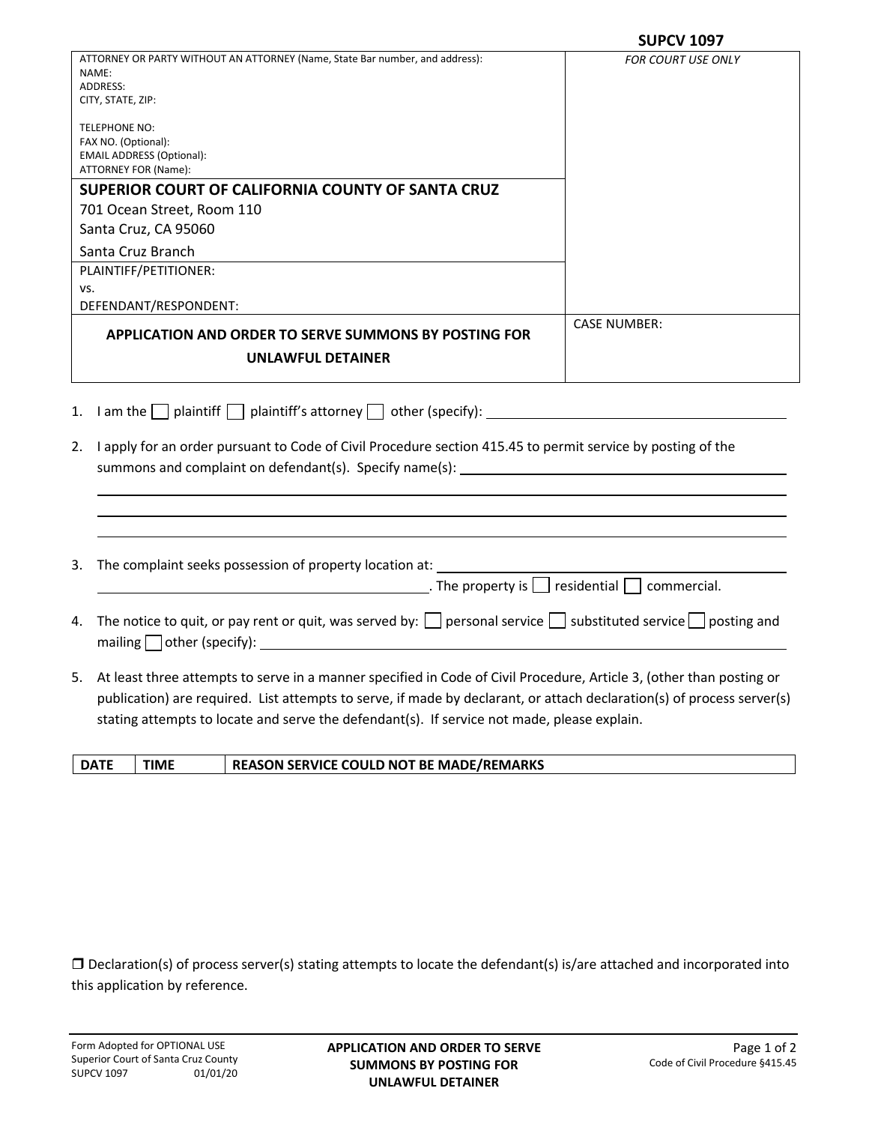|                                                                                                                                                                                                                                                                                                                                                  | <b>SUPCV 1097</b>         |
|--------------------------------------------------------------------------------------------------------------------------------------------------------------------------------------------------------------------------------------------------------------------------------------------------------------------------------------------------|---------------------------|
| ATTORNEY OR PARTY WITHOUT AN ATTORNEY (Name, State Bar number, and address):<br>NAME:<br>ADDRESS:<br>CITY, STATE, ZIP:                                                                                                                                                                                                                           | <b>FOR COURT USE ONLY</b> |
| <b>TELEPHONE NO:</b><br>FAX NO. (Optional):<br><b>EMAIL ADDRESS (Optional):</b><br>ATTORNEY FOR (Name):                                                                                                                                                                                                                                          |                           |
| SUPERIOR COURT OF CALIFORNIA COUNTY OF SANTA CRUZ                                                                                                                                                                                                                                                                                                |                           |
| 701 Ocean Street, Room 110<br>Santa Cruz, CA 95060                                                                                                                                                                                                                                                                                               |                           |
| Santa Cruz Branch                                                                                                                                                                                                                                                                                                                                |                           |
| PLAINTIFF/PETITIONER:                                                                                                                                                                                                                                                                                                                            |                           |
| VS.<br>DEFENDANT/RESPONDENT:                                                                                                                                                                                                                                                                                                                     |                           |
| <b>APPLICATION AND ORDER TO SERVE SUMMONS BY POSTING FOR</b>                                                                                                                                                                                                                                                                                     | <b>CASE NUMBER:</b>       |
| UNLAWFUL DETAINER                                                                                                                                                                                                                                                                                                                                |                           |
| I am the $\Box$ plaintiff $\Box$ plaintiff's attorney $\Box$ other (specify): $\Box$<br>1.<br>I apply for an order pursuant to Code of Civil Procedure section 415.45 to permit service by posting of the<br>2.                                                                                                                                  |                           |
| The complaint seeks possession of property location at:<br>3.<br>$\Box$ The property is $\Box$ residential $\Box$ commercial.                                                                                                                                                                                                                    |                           |
| The notice to quit, or pay rent or quit, was served by: $\Box$ personal service $\Box$ substituted service $\Box$ posting and<br>4.<br>mailing $\Box$ other (specify): $\Box$                                                                                                                                                                    |                           |
| 5. At least three attempts to serve in a manner specified in Code of Civil Procedure, Article 3, (other than posting or<br>publication) are required. List attempts to serve, if made by declarant, or attach declaration(s) of process server(s)<br>stating attempts to locate and serve the defendant(s). If service not made, please explain. |                           |

| <b>DATI</b> | <b>TIME</b> | <b>REASON SERVICE COULD NOT BE MADE/REMARKS</b> |
|-------------|-------------|-------------------------------------------------|
|             |             |                                                 |

 Declaration(s) of process server(s) stating attempts to locate the defendant(s) is/are attached and incorporated into this application by reference.